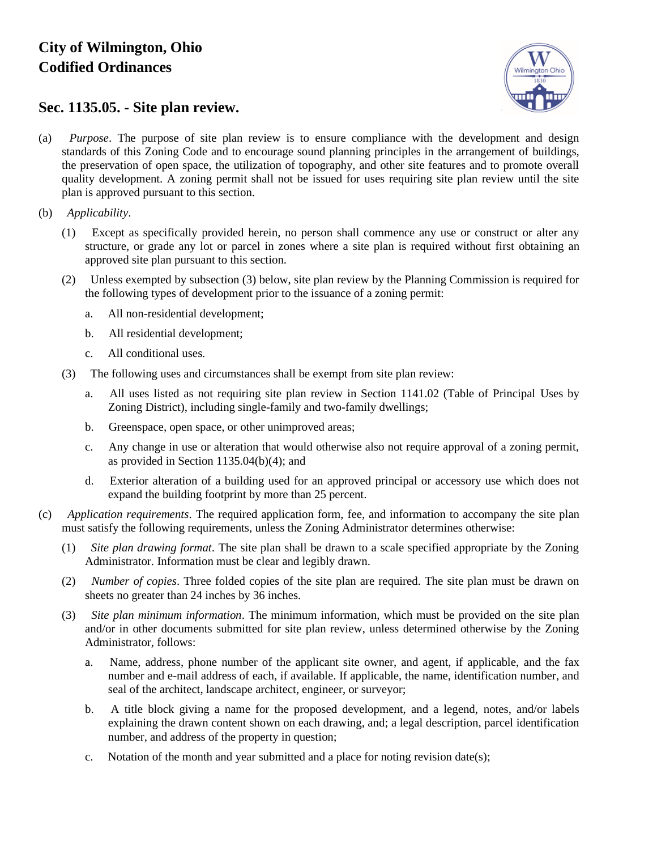## **City of Wilmington, Ohio Codified Ordinances**



## **Sec. 1135.05. - Site plan review.**

- (a) *Purpose*. The purpose of site plan review is to ensure compliance with the development and design standards of this Zoning Code and to encourage sound planning principles in the arrangement of buildings, the preservation of open space, the utilization of topography, and other site features and to promote overall quality development. A zoning permit shall not be issued for uses requiring site plan review until the site plan is approved pursuant to this section.
- (b) *Applicability*.
	- (1) Except as specifically provided herein, no person shall commence any use or construct or alter any structure, or grade any lot or parcel in zones where a site plan is required without first obtaining an approved site plan pursuant to this section.
	- (2) Unless exempted by subsection (3) below, site plan review by the Planning Commission is required for the following types of development prior to the issuance of a zoning permit:
		- a. All non-residential development;
		- b. All residential development;
		- c. All conditional uses.
	- (3) The following uses and circumstances shall be exempt from site plan review:
		- a. All uses listed as not requiring site plan review in Section 1141.02 (Table of Principal Uses by Zoning District), including single-family and two-family dwellings;
		- b. Greenspace, open space, or other unimproved areas;
		- c. Any change in use or alteration that would otherwise also not require approval of a zoning permit, as provided in Section 1135.04(b)(4); and
		- d. Exterior alteration of a building used for an approved principal or accessory use which does not expand the building footprint by more than 25 percent.
- (c) *Application requirements*. The required application form, fee, and information to accompany the site plan must satisfy the following requirements, unless the Zoning Administrator determines otherwise:
	- (1) *Site plan drawing format*. The site plan shall be drawn to a scale specified appropriate by the Zoning Administrator. Information must be clear and legibly drawn.
	- (2) *Number of copies*. Three folded copies of the site plan are required. The site plan must be drawn on sheets no greater than 24 inches by 36 inches.
	- (3) *Site plan minimum information*. The minimum information, which must be provided on the site plan and/or in other documents submitted for site plan review, unless determined otherwise by the Zoning Administrator, follows:
		- a. Name, address, phone number of the applicant site owner, and agent, if applicable, and the fax number and e-mail address of each, if available. If applicable, the name, identification number, and seal of the architect, landscape architect, engineer, or surveyor;
		- b. A title block giving a name for the proposed development, and a legend, notes, and/or labels explaining the drawn content shown on each drawing, and; a legal description, parcel identification number, and address of the property in question;
		- c. Notation of the month and year submitted and a place for noting revision date(s);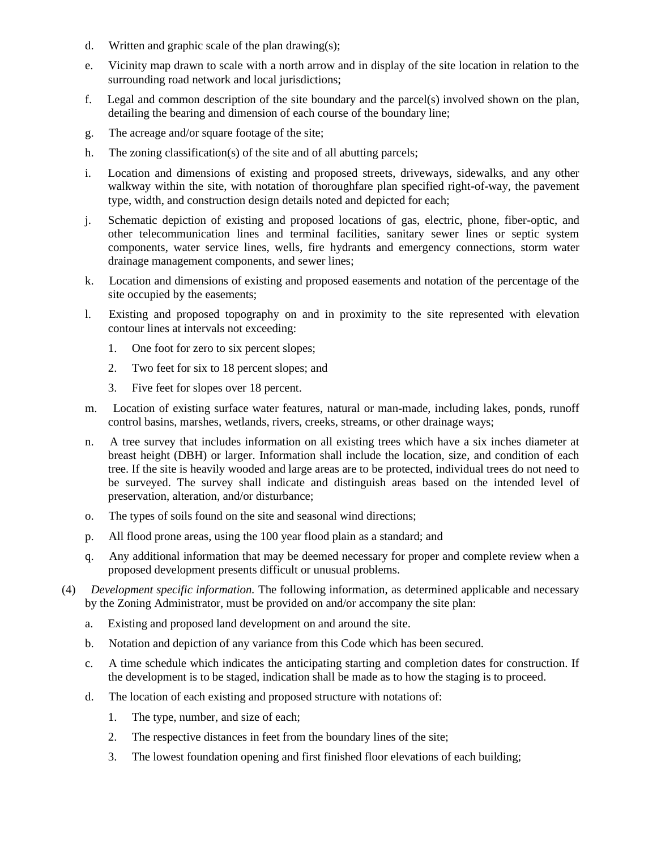- d. Written and graphic scale of the plan drawing(s);
- e. Vicinity map drawn to scale with a north arrow and in display of the site location in relation to the surrounding road network and local jurisdictions;
- f. Legal and common description of the site boundary and the parcel(s) involved shown on the plan, detailing the bearing and dimension of each course of the boundary line;
- g. The acreage and/or square footage of the site;
- h. The zoning classification(s) of the site and of all abutting parcels;
- i. Location and dimensions of existing and proposed streets, driveways, sidewalks, and any other walkway within the site, with notation of thoroughfare plan specified right-of-way, the pavement type, width, and construction design details noted and depicted for each;
- j. Schematic depiction of existing and proposed locations of gas, electric, phone, fiber-optic, and other telecommunication lines and terminal facilities, sanitary sewer lines or septic system components, water service lines, wells, fire hydrants and emergency connections, storm water drainage management components, and sewer lines;
- k. Location and dimensions of existing and proposed easements and notation of the percentage of the site occupied by the easements;
- l. Existing and proposed topography on and in proximity to the site represented with elevation contour lines at intervals not exceeding:
	- 1. One foot for zero to six percent slopes;
	- 2. Two feet for six to 18 percent slopes; and
	- 3. Five feet for slopes over 18 percent.
- m. Location of existing surface water features, natural or man-made, including lakes, ponds, runoff control basins, marshes, wetlands, rivers, creeks, streams, or other drainage ways;
- n. A tree survey that includes information on all existing trees which have a six inches diameter at breast height (DBH) or larger. Information shall include the location, size, and condition of each tree. If the site is heavily wooded and large areas are to be protected, individual trees do not need to be surveyed. The survey shall indicate and distinguish areas based on the intended level of preservation, alteration, and/or disturbance;
- o. The types of soils found on the site and seasonal wind directions;
- p. All flood prone areas, using the 100 year flood plain as a standard; and
- q. Any additional information that may be deemed necessary for proper and complete review when a proposed development presents difficult or unusual problems.
- (4) *Development specific information.* The following information, as determined applicable and necessary by the Zoning Administrator, must be provided on and/or accompany the site plan:
	- a. Existing and proposed land development on and around the site.
	- b. Notation and depiction of any variance from this Code which has been secured.
	- c. A time schedule which indicates the anticipating starting and completion dates for construction. If the development is to be staged, indication shall be made as to how the staging is to proceed.
	- d. The location of each existing and proposed structure with notations of:
		- 1. The type, number, and size of each;
		- 2. The respective distances in feet from the boundary lines of the site;
		- 3. The lowest foundation opening and first finished floor elevations of each building;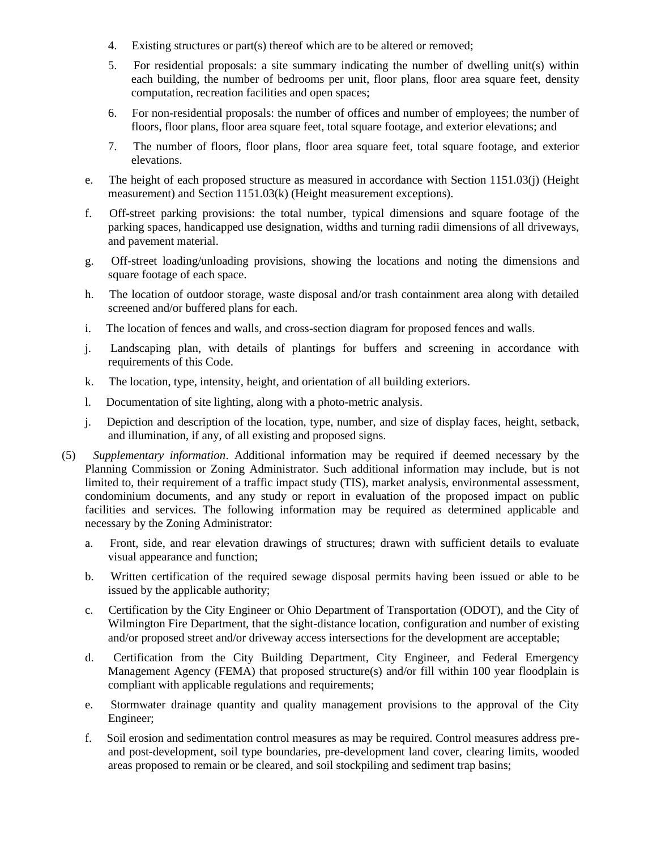- 4. Existing structures or part(s) thereof which are to be altered or removed;
- 5. For residential proposals: a site summary indicating the number of dwelling unit(s) within each building, the number of bedrooms per unit, floor plans, floor area square feet, density computation, recreation facilities and open spaces;
- 6. For non-residential proposals: the number of offices and number of employees; the number of floors, floor plans, floor area square feet, total square footage, and exterior elevations; and
- 7. The number of floors, floor plans, floor area square feet, total square footage, and exterior elevations.
- e. The height of each proposed structure as measured in accordance with Section 1151.03(j) (Height measurement) and Section 1151.03(k) (Height measurement exceptions).
- f. Off-street parking provisions: the total number, typical dimensions and square footage of the parking spaces, handicapped use designation, widths and turning radii dimensions of all driveways, and pavement material.
- g. Off-street loading/unloading provisions, showing the locations and noting the dimensions and square footage of each space.
- h. The location of outdoor storage, waste disposal and/or trash containment area along with detailed screened and/or buffered plans for each.
- i. The location of fences and walls, and cross-section diagram for proposed fences and walls.
- j. Landscaping plan, with details of plantings for buffers and screening in accordance with requirements of this Code.
- k. The location, type, intensity, height, and orientation of all building exteriors.
- l. Documentation of site lighting, along with a photo-metric analysis.
- j. Depiction and description of the location, type, number, and size of display faces, height, setback, and illumination, if any, of all existing and proposed signs.
- (5) *Supplementary information*. Additional information may be required if deemed necessary by the Planning Commission or Zoning Administrator. Such additional information may include, but is not limited to, their requirement of a traffic impact study (TIS), market analysis, environmental assessment, condominium documents, and any study or report in evaluation of the proposed impact on public facilities and services. The following information may be required as determined applicable and necessary by the Zoning Administrator:
	- a. Front, side, and rear elevation drawings of structures; drawn with sufficient details to evaluate visual appearance and function;
	- b. Written certification of the required sewage disposal permits having been issued or able to be issued by the applicable authority;
	- c. Certification by the City Engineer or Ohio Department of Transportation (ODOT), and the City of Wilmington Fire Department, that the sight-distance location, configuration and number of existing and/or proposed street and/or driveway access intersections for the development are acceptable;
	- d. Certification from the City Building Department, City Engineer, and Federal Emergency Management Agency (FEMA) that proposed structure(s) and/or fill within 100 year floodplain is compliant with applicable regulations and requirements;
	- e. Stormwater drainage quantity and quality management provisions to the approval of the City Engineer;
	- f. Soil erosion and sedimentation control measures as may be required. Control measures address preand post-development, soil type boundaries, pre-development land cover, clearing limits, wooded areas proposed to remain or be cleared, and soil stockpiling and sediment trap basins;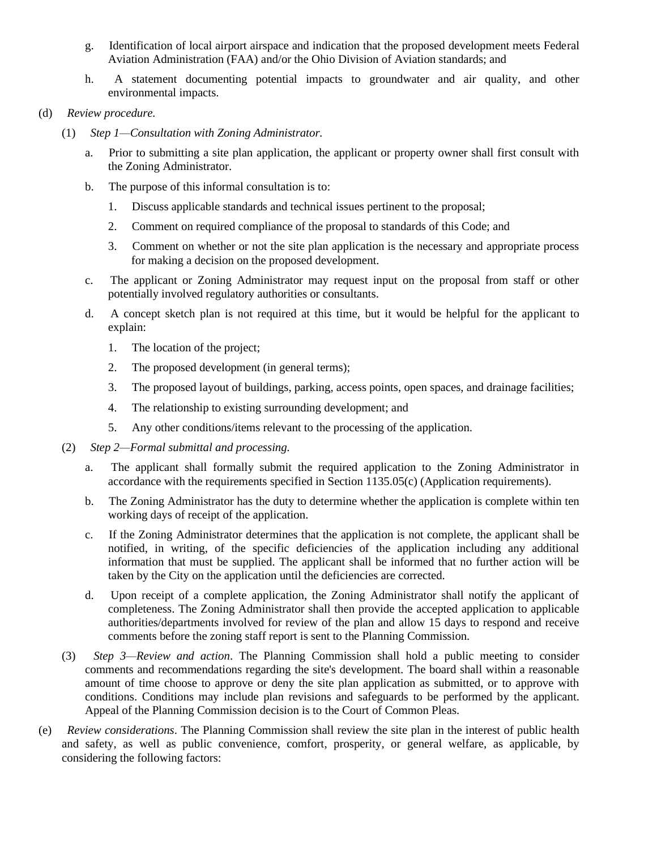- g. Identification of local airport airspace and indication that the proposed development meets Federal Aviation Administration (FAA) and/or the Ohio Division of Aviation standards; and
- h. A statement documenting potential impacts to groundwater and air quality, and other environmental impacts.
- (d) *Review procedure.*
	- (1) *Step 1—Consultation with Zoning Administrator.*
		- a. Prior to submitting a site plan application, the applicant or property owner shall first consult with the Zoning Administrator.
		- b. The purpose of this informal consultation is to:
			- 1. Discuss applicable standards and technical issues pertinent to the proposal;
			- 2. Comment on required compliance of the proposal to standards of this Code; and
			- 3. Comment on whether or not the site plan application is the necessary and appropriate process for making a decision on the proposed development.
		- c. The applicant or Zoning Administrator may request input on the proposal from staff or other potentially involved regulatory authorities or consultants.
		- d. A concept sketch plan is not required at this time, but it would be helpful for the applicant to explain:
			- 1. The location of the project;
			- 2. The proposed development (in general terms);
			- 3. The proposed layout of buildings, parking, access points, open spaces, and drainage facilities;
			- 4. The relationship to existing surrounding development; and
			- 5. Any other conditions/items relevant to the processing of the application.
	- (2) *Step 2—Formal submittal and processing.*
		- a. The applicant shall formally submit the required application to the Zoning Administrator in accordance with the requirements specified in Section 1135.05(c) (Application requirements).
		- b. The Zoning Administrator has the duty to determine whether the application is complete within ten working days of receipt of the application.
		- c. If the Zoning Administrator determines that the application is not complete, the applicant shall be notified, in writing, of the specific deficiencies of the application including any additional information that must be supplied. The applicant shall be informed that no further action will be taken by the City on the application until the deficiencies are corrected.
		- d. Upon receipt of a complete application, the Zoning Administrator shall notify the applicant of completeness. The Zoning Administrator shall then provide the accepted application to applicable authorities/departments involved for review of the plan and allow 15 days to respond and receive comments before the zoning staff report is sent to the Planning Commission.
	- (3) *Step 3—Review and action*. The Planning Commission shall hold a public meeting to consider comments and recommendations regarding the site's development. The board shall within a reasonable amount of time choose to approve or deny the site plan application as submitted, or to approve with conditions. Conditions may include plan revisions and safeguards to be performed by the applicant. Appeal of the Planning Commission decision is to the Court of Common Pleas.
- (e) *Review considerations*. The Planning Commission shall review the site plan in the interest of public health and safety, as well as public convenience, comfort, prosperity, or general welfare, as applicable, by considering the following factors: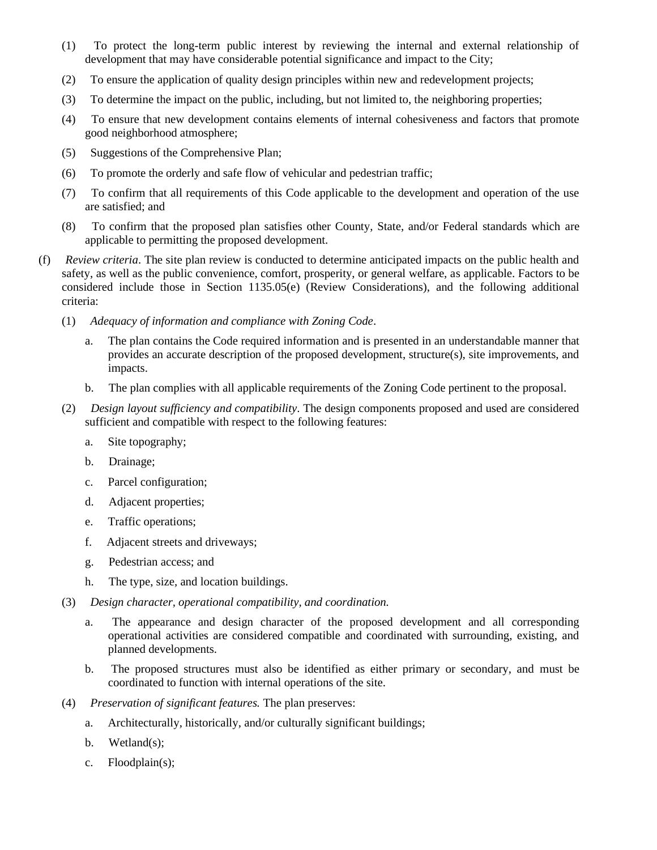- (1) To protect the long-term public interest by reviewing the internal and external relationship of development that may have considerable potential significance and impact to the City;
- (2) To ensure the application of quality design principles within new and redevelopment projects;
- (3) To determine the impact on the public, including, but not limited to, the neighboring properties;
- (4) To ensure that new development contains elements of internal cohesiveness and factors that promote good neighborhood atmosphere;
- (5) Suggestions of the Comprehensive Plan;
- (6) To promote the orderly and safe flow of vehicular and pedestrian traffic;
- (7) To confirm that all requirements of this Code applicable to the development and operation of the use are satisfied; and
- (8) To confirm that the proposed plan satisfies other County, State, and/or Federal standards which are applicable to permitting the proposed development.
- (f) *Review criteria*. The site plan review is conducted to determine anticipated impacts on the public health and safety, as well as the public convenience, comfort, prosperity, or general welfare, as applicable. Factors to be considered include those in Section 1135.05(e) (Review Considerations), and the following additional criteria:
	- (1) *Adequacy of information and compliance with Zoning Code*.
		- a. The plan contains the Code required information and is presented in an understandable manner that provides an accurate description of the proposed development, structure(s), site improvements, and impacts.
		- b. The plan complies with all applicable requirements of the Zoning Code pertinent to the proposal.
	- (2) *Design layout sufficiency and compatibility*. The design components proposed and used are considered sufficient and compatible with respect to the following features:
		- a. Site topography;
		- b. Drainage;
		- c. Parcel configuration;
		- d. Adjacent properties;
		- e. Traffic operations;
		- f. Adjacent streets and driveways;
		- g. Pedestrian access; and
		- h. The type, size, and location buildings.
	- (3) *Design character, operational compatibility, and coordination.*
		- a. The appearance and design character of the proposed development and all corresponding operational activities are considered compatible and coordinated with surrounding, existing, and planned developments.
		- b. The proposed structures must also be identified as either primary or secondary, and must be coordinated to function with internal operations of the site.
	- (4) *Preservation of significant features.* The plan preserves:
		- a. Architecturally, historically, and/or culturally significant buildings;
		- b. Wetland(s);
		- c. Floodplain(s);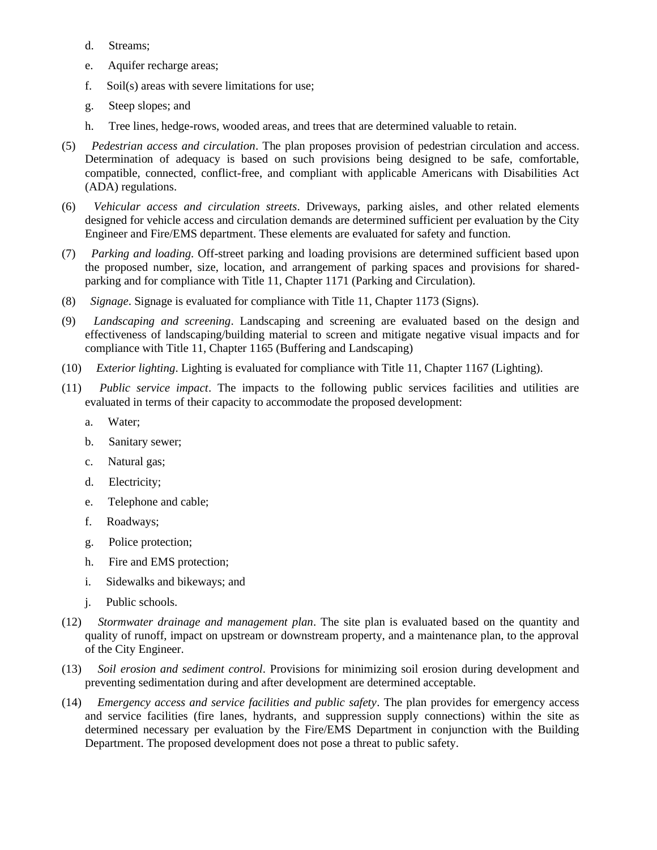- d. Streams;
- e. Aquifer recharge areas;
- f. Soil(s) areas with severe limitations for use;
- g. Steep slopes; and
- h. Tree lines, hedge-rows, wooded areas, and trees that are determined valuable to retain.
- (5) *Pedestrian access and circulation*. The plan proposes provision of pedestrian circulation and access. Determination of adequacy is based on such provisions being designed to be safe, comfortable, compatible, connected, conflict-free, and compliant with applicable Americans with Disabilities Act (ADA) regulations.
- (6) *Vehicular access and circulation streets*. Driveways, parking aisles, and other related elements designed for vehicle access and circulation demands are determined sufficient per evaluation by the City Engineer and Fire/EMS department. These elements are evaluated for safety and function.
- (7) *Parking and loading*. Off-street parking and loading provisions are determined sufficient based upon the proposed number, size, location, and arrangement of parking spaces and provisions for sharedparking and for compliance with Title 11, Chapter 1171 (Parking and Circulation).
- (8) *Signage*. Signage is evaluated for compliance with Title 11, Chapter 1173 (Signs).
- (9) *Landscaping and screening*. Landscaping and screening are evaluated based on the design and effectiveness of landscaping/building material to screen and mitigate negative visual impacts and for compliance with Title 11, Chapter 1165 (Buffering and Landscaping)
- (10) *Exterior lighting*. Lighting is evaluated for compliance with Title 11, Chapter 1167 (Lighting).
- (11) *Public service impact*. The impacts to the following public services facilities and utilities are evaluated in terms of their capacity to accommodate the proposed development:
	- a. Water;
	- b. Sanitary sewer;
	- c. Natural gas;
	- d. Electricity;
	- e. Telephone and cable;
	- f. Roadways;
	- g. Police protection;
	- h. Fire and EMS protection;
	- i. Sidewalks and bikeways; and
	- j. Public schools.
- (12) *Stormwater drainage and management plan*. The site plan is evaluated based on the quantity and quality of runoff, impact on upstream or downstream property, and a maintenance plan, to the approval of the City Engineer.
- (13) *Soil erosion and sediment control*. Provisions for minimizing soil erosion during development and preventing sedimentation during and after development are determined acceptable.
- (14) *Emergency access and service facilities and public safety*. The plan provides for emergency access and service facilities (fire lanes, hydrants, and suppression supply connections) within the site as determined necessary per evaluation by the Fire/EMS Department in conjunction with the Building Department. The proposed development does not pose a threat to public safety.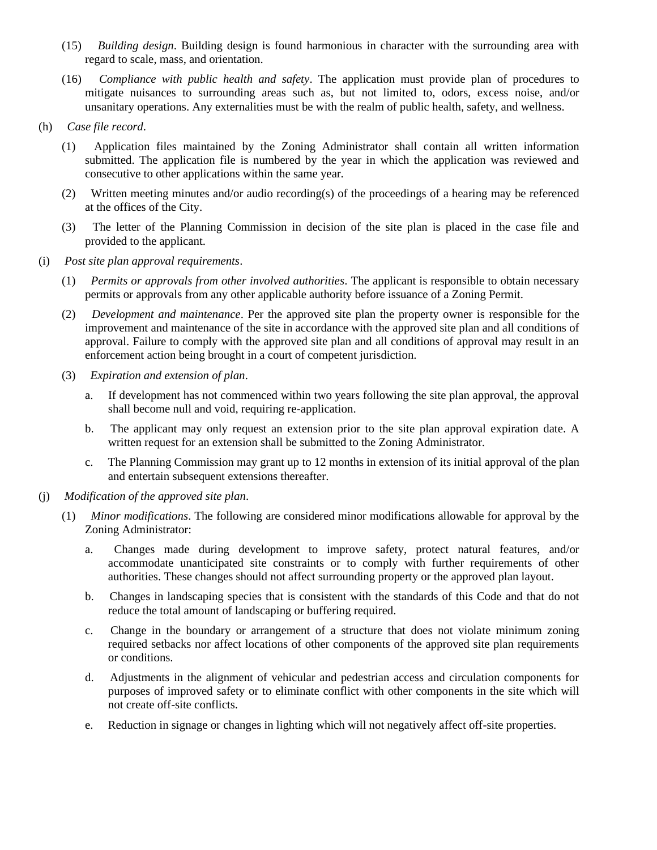- (15) *Building design*. Building design is found harmonious in character with the surrounding area with regard to scale, mass, and orientation.
- (16) *Compliance with public health and safety*. The application must provide plan of procedures to mitigate nuisances to surrounding areas such as, but not limited to, odors, excess noise, and/or unsanitary operations. Any externalities must be with the realm of public health, safety, and wellness.
- (h) *Case file record*.
	- (1) Application files maintained by the Zoning Administrator shall contain all written information submitted. The application file is numbered by the year in which the application was reviewed and consecutive to other applications within the same year.
	- (2) Written meeting minutes and/or audio recording(s) of the proceedings of a hearing may be referenced at the offices of the City.
	- (3) The letter of the Planning Commission in decision of the site plan is placed in the case file and provided to the applicant.
- (i) *Post site plan approval requirements*.
	- (1) *Permits or approvals from other involved authorities*. The applicant is responsible to obtain necessary permits or approvals from any other applicable authority before issuance of a Zoning Permit.
	- (2) *Development and maintenance*. Per the approved site plan the property owner is responsible for the improvement and maintenance of the site in accordance with the approved site plan and all conditions of approval. Failure to comply with the approved site plan and all conditions of approval may result in an enforcement action being brought in a court of competent jurisdiction.
	- (3) *Expiration and extension of plan*.
		- a. If development has not commenced within two years following the site plan approval, the approval shall become null and void, requiring re-application.
		- b. The applicant may only request an extension prior to the site plan approval expiration date. A written request for an extension shall be submitted to the Zoning Administrator.
		- c. The Planning Commission may grant up to 12 months in extension of its initial approval of the plan and entertain subsequent extensions thereafter.
- (j) *Modification of the approved site plan*.
	- (1) *Minor modifications*. The following are considered minor modifications allowable for approval by the Zoning Administrator:
		- a. Changes made during development to improve safety, protect natural features, and/or accommodate unanticipated site constraints or to comply with further requirements of other authorities. These changes should not affect surrounding property or the approved plan layout.
		- b. Changes in landscaping species that is consistent with the standards of this Code and that do not reduce the total amount of landscaping or buffering required.
		- c. Change in the boundary or arrangement of a structure that does not violate minimum zoning required setbacks nor affect locations of other components of the approved site plan requirements or conditions.
		- d. Adjustments in the alignment of vehicular and pedestrian access and circulation components for purposes of improved safety or to eliminate conflict with other components in the site which will not create off-site conflicts.
		- e. Reduction in signage or changes in lighting which will not negatively affect off-site properties.